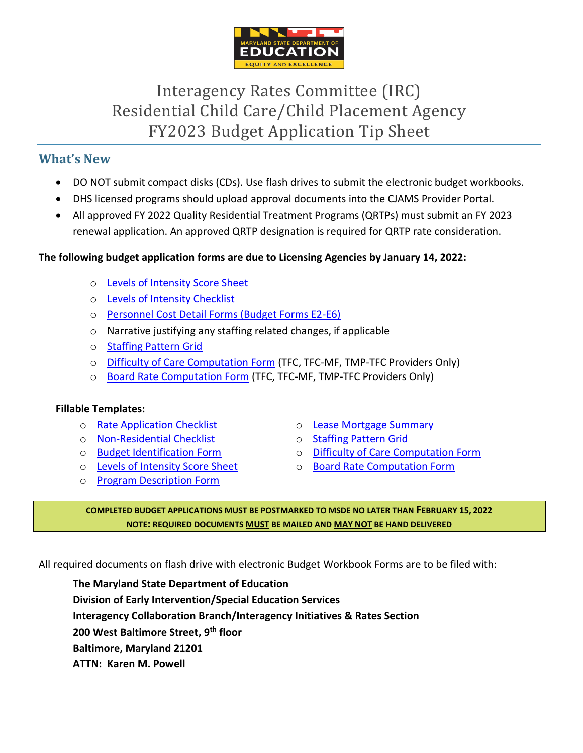

# Interagency Rates Committee (IRC) Residential Child Care/Child Placement Agency FY2023 Budget Application Tip Sheet

# **What's New**

- DO NOT submit compact disks (CDs). Use flash drives to submit the electronic budget workbooks.
- DHS licensed programs should upload approval documents into the CJAMS Provider Portal.
- All approved FY 2022 Quality Residential Treatment Programs (QRTPs) must submit an FY 2023 renewal application. An approved QRTP designation is required for QRTP rate consideration.

### **The following budget application forms are due to Licensing Agencies by January 14, 2022:**

- o [Levels of Intensity Score Sheet](https://marylandpublicschools.org/programs/Documents/Special-Ed/IRC/Instruct/FY2023LOIScoreSheet.dotx)
- o [Levels of Intensity Checklist](https://marylandpublicschools.org/programs/Documents/Special-Ed/IRC/Instruct/Levels%20of%20Intensity%20Manual_10.24.14.pdf)
- o [Personnel Cost Detail Forms \(Budget Forms E2-E6\)](https://marylandpublicschools.org/programs/Documents/Special-Ed/IRC/Form/FY2023-Budget-Workbook-Forms.xls?Web=1)
- o Narrative justifying any staffing related changes, if applicable
- o [Staffing Pattern Grid](https://marylandpublicschools.org/programs/Documents/Special-Ed/IRC/Form/FY2023StaffingPatternGrid.xls?Web=1)
- o [Difficulty of Care Computation Form](https://marylandpublicschools.org/programs/Documents/Special-Ed/IRC/Form/FY2023TFCDifficultyCareComputationForm.dotx) (TFC, TFC-MF, TMP-TFC Providers Only)
- o [Board Rate Computation Form](https://marylandpublicschools.org/programs/Documents/Special-Ed/IRC/Form/FY2023TFCBoardRateComputationForm.dotx) (TFC, TFC-MF, TMP-TFC Providers Only)

#### **Fillable Templates:**

- o [Rate Application Checklist](https://marylandpublicschools.org/programs/Documents/Special-Ed/IRC/Form/FY2023RateApplicationChecklist.dotx)
- o [Non-Residential](https://marylandpublicschools.org/programs/Documents/Special-Ed/IRC/Instruct/FY2023NRRateApplicationChecklist-Non-Residential%20Only.dotx) Checklist
- o [Budget Identification Form](https://marylandpublicschools.org/programs/Documents/Special-Ed/IRC/Form/FY2023BudgetIdentificationForm.dotx)
- o [Levels of Intensity Score Sheet](https://marylandpublicschools.org/programs/Documents/Special-Ed/IRC/Instruct/FY2023LOIScoreSheet.dotx)
- o [Program Description Form](https://marylandpublicschools.org/programs/Documents/Special-Ed/IRC/Form/FY2023ProgramDescriptionForm.dotx)
- o [Lease Mortgage Summary](https://marylandpublicschools.org/programs/Documents/Special-Ed/IRC/Form/FY2023LeaseMortgageSummary.xls?Web=1)
- o [Staffing Pattern Grid](https://marylandpublicschools.org/programs/Documents/Special-Ed/IRC/Form/FY2023StaffingPatternGrid.xls?Web=1)
- o [Difficulty of Care Computation Form](https://marylandpublicschools.org/programs/Documents/Special-Ed/IRC/Form/FY2023TFCDifficultyCareComputationForm.dotx)
- o [Board Rate Computation Form](https://marylandpublicschools.org/programs/Documents/Special-Ed/IRC/Form/FY2023TFCBoardRateComputationForm.dotx)

#### **COMPLETED BUDGET APPLICATIONS MUST BE POSTMARKED TO MSDE NO LATER THAN FEBRUARY 15, 2022 NOTE: REQUIRED DOCUMENTS MUST BE MAILED AND MAY NOT BE HAND DELIVERED**

All required documents on flash drive with electronic Budget Workbook Forms are to be filed with:

**The Maryland State Department of Education Division of Early Intervention/Special Education Services Interagency Collaboration Branch/Interagency Initiatives & Rates Section 200 West Baltimore Street, 9th floor Baltimore, Maryland 21201 ATTN: Karen M. Powell**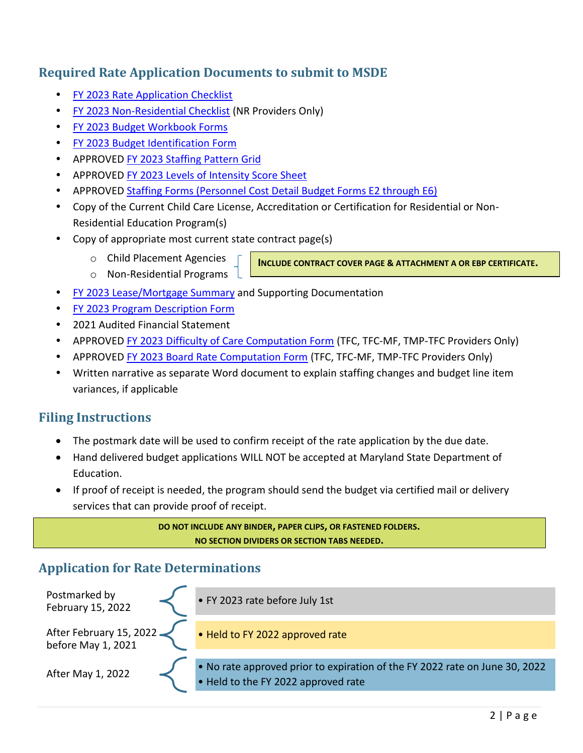# **Required Rate Application Documents to submit to MSDE**

- FY 2023 [Rate Application](https://marylandpublicschools.org/programs/Documents/Special-Ed/IRC/Form/FY2023RateApplicationChecklist.dotx) Checklist
- FY 2023 [Non-Residential Checklist](https://marylandpublicschools.org/programs/Documents/Special-Ed/IRC/Instruct/FY2023NRRateApplicationChecklist-Non-Residential%20Only.dotx) (NR Providers Only)
- [FY 2023 Budget Workbook Forms](https://marylandpublicschools.org/programs/Documents/Special-Ed/IRC/Form/FY2023-Budget-Workbook-Forms.xls?Web=1)
- [FY 2023 Budget Identification Form](https://marylandpublicschools.org/programs/Documents/Special-Ed/IRC/Form/FY2023BudgetIdentificationForm.dotx)
- APPROVED [FY 2023 Staffing Pattern Grid](https://marylandpublicschools.org/programs/Documents/Special-Ed/IRC/Form/FY2023StaffingPatternGrid.xls?Web=1)
- APPROVED [FY 2023 Levels of Intensity Score Sheet](https://marylandpublicschools.org/programs/Documents/Special-Ed/IRC/Instruct/FY2023LOIScoreSheet.dotx)
- APPROVED [Staffing Forms \(Personnel Cost Detail Budget Forms E2 through E6\)](https://marylandpublicschools.org/programs/Documents/Special-Ed/IRC/Form/FY2023-Budget-Workbook-Forms.xls?Web=1)
- Copy of the Current Child Care License, Accreditation or Certification for Residential or Non-Residential Education Program(s)
- Copy of appropriate most current state contract page(s)
	- o Child Placement Agencies o Non-Residential Programs

**INCLUDE CONTRACT COVER PAGE & ATTACHMENT A OR EBP CERTIFICATE.**

- [FY 2023 Lease/Mortgage Summary](https://marylandpublicschools.org/programs/Documents/Special-Ed/IRC/Form/FY2023LeaseMortgageSummary.xls?Web=1) and Supporting Documentation
- [FY 2023 Program Description Form](https://marylandpublicschools.org/programs/Documents/Special-Ed/IRC/Form/FY2023ProgramDescriptionForm.dotx)
- 2021 Audited Financial Statement
- APPROVED [FY 2023 Difficulty of Care Computation Form](https://marylandpublicschools.org/programs/Documents/Special-Ed/IRC/Form/FY2023TFCDifficultyCareComputationForm.dotx) (TFC, TFC-MF, TMP-TFC Providers Only)
- APPROVED [FY 2023 Board Rate Computation Form](https://marylandpublicschools.org/programs/Documents/Special-Ed/IRC/Form/FY2023TFCBoardRateComputationForm.dotx) (TFC, TFC-MF, TMP-TFC Providers Only)
- Written narrative as separate Word document to explain staffing changes and budget line item variances, if applicable

# **Filing Instructions**

- The postmark date will be used to confirm receipt of the rate application by the due date.
- Hand delivered budget applications WILL NOT be accepted at Maryland State Department of Education.
- If proof of receipt is needed, the program should send the budget via certified mail or delivery services that can provide proof of receipt.

**DO NOT INCLUDE ANY BINDER, PAPER CLIPS, OR FASTENED FOLDERS. NO SECTION DIVIDERS OR SECTION TABS NEEDED.**

# **Application for Rate Determinations**

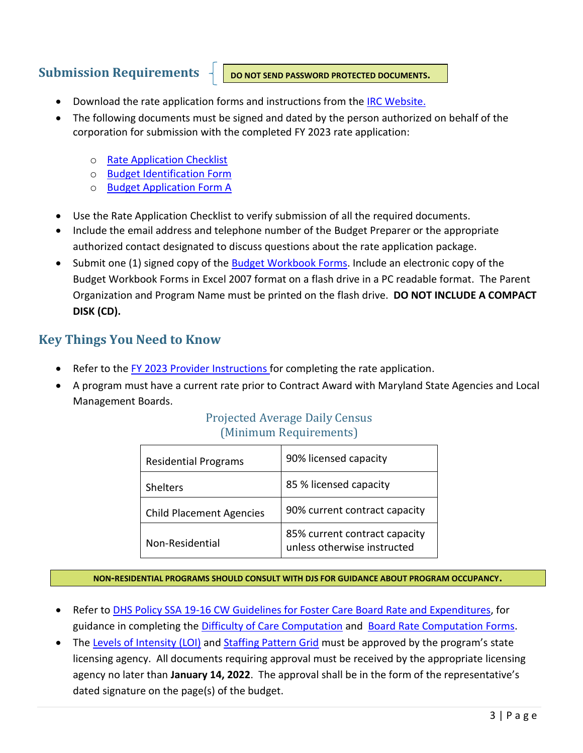# **Submission Requirements**

**DO NOT SEND PASSWORD PROTECTED DOCUMENTS.**

- Download the rate application forms and instructions from the [IRC Website.](https://marylandpublicschools.org/programs/Pages/Special-Education/IRC/index.aspx)
- The following documents must be signed and dated by the person authorized on behalf of the corporation for submission with the completed FY 2023 rate application:
	- o [Rate Application Checklist](https://marylandpublicschools.org/programs/Documents/Special-Ed/IRC/Form/FY2023RateApplicationChecklist.dotx)
	- o [Budget Identification Form](https://marylandpublicschools.org/programs/Documents/Special-Ed/IRC/Form/FY2023BudgetIdentificationForm.dotx)
	- o [Budget Application Form A](https://marylandpublicschools.org/programs/Documents/Special-Ed/IRC/Form/FY2023-Budget-Workbook-Forms.xls?Web=1)
- Use the Rate Application Checklist to verify submission of all the required documents.
- Include the email address and telephone number of the Budget Preparer or the appropriate authorized contact designated to discuss questions about the rate application package.
- Submit one (1) signed copy of the [Budget Workbook](https://marylandpublicschools.org/programs/Documents/Special-Ed/IRC/Form/FY2023-Budget-Workbook-Forms.xls?Web=1) Forms. Include an electronic copy of the Budget Workbook Forms in Excel 2007 format on a flash drive in a PC readable format. The Parent Organization and Program Name must be printed on the flash drive. **DO NOT INCLUDE A COMPACT DISK (CD).**

# **Key Things You Need to Know**

- Refer to the [FY 2023 Provider Instructions](https://marylandpublicschools.org/programs/Documents/Special-Ed/IRC/Instruct/FY2023ProviderInstructions.pdf) for completing the rate application.
- A program must have a current rate prior to Contract Award with Maryland State Agencies and Local Management Boards.

### Projected Average Daily Census (Minimum Requirements)

| <b>Residential Programs</b>     | 90% licensed capacity                                        |
|---------------------------------|--------------------------------------------------------------|
| <b>Shelters</b>                 | 85 % licensed capacity                                       |
| <b>Child Placement Agencies</b> | 90% current contract capacity                                |
| Non-Residential                 | 85% current contract capacity<br>unless otherwise instructed |

#### **NON-RESIDENTIAL PROGRAMS SHOULD CONSULT WITH DJS FOR GUIDANCE ABOUT PROGRAM OCCUPANCY.**

- Refer to **DHS Policy SSA 19-16 CW Guidelines for Foster Care Board Rate and Expenditures, for** guidance in completing the [Difficulty of Care Computation](https://marylandpublicschools.org/programs/Documents/Special-Ed/IRC/Form/FY2023TFCDifficultyCareComputationForm.dotx) and [Board Rate Computation Forms.](https://marylandpublicschools.org/programs/Documents/Special-Ed/IRC/Form/FY2023TFCBoardRateComputationForm.dotx)
- The [Levels of Intensity \(LOI\)](https://marylandpublicschools.org/programs/Documents/Special-Ed/IRC/Instruct/FY2023LOIScoreSheet.dotx) and [Staffing Pattern Grid](https://marylandpublicschools.org/programs/Documents/Special-Ed/IRC/Form/FY2023StaffingPatternGrid.xls?Web=1) must be approved by the program's state licensing agency. All documents requiring approval must be received by the appropriate licensing agency no later than **January 14, 2022**. The approval shall be in the form of the representative's dated signature on the page(s) of the budget.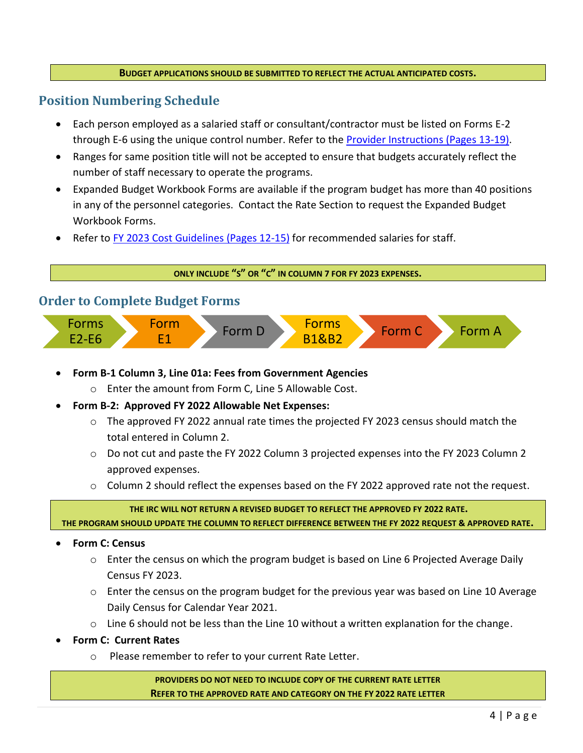#### **BUDGET APPLICATIONS SHOULD BE SUBMITTED TO REFLECT THE ACTUAL ANTICIPATED COSTS.**

### **Position Numbering Schedule**

- Each person employed as a salaried staff or consultant/contractor must be listed on Forms E-2 through E-6 using the unique control number. Refer to the [Provider Instructions \(Pages 13-19\).](https://marylandpublicschools.org/programs/Documents/Special-Ed/IRC/Instruct/FY2023ProviderInstructions.pdf)
- Ranges for same position title will not be accepted to ensure that budgets accurately reflect the number of staff necessary to operate the programs.
- Expanded Budget Workbook Forms are available if the program budget has more than 40 positions in any of the personnel categories. Contact the Rate Section to request the Expanded Budget Workbook Forms.
- Refer to [FY 2023 Cost Guidelines \(Pages 12-15\)](https://marylandpublicschools.org/programs/Documents/Special-Ed/IRC/Instruct/FY2023CostGuidelines.pdf) for recommended salaries for staff.

**ONLY INCLUDE "S" OR "C" IN COLUMN 7 FOR FY 2023 EXPENSES.**

### **Order to Complete Budget Forms**



- **Form B-1 Column 3, Line 01a: Fees from Government Agencies** 
	- o Enter the amount from Form C, Line 5 Allowable Cost.
- **Form B-2: Approved FY 2022 Allowable Net Expenses:** 
	- $\circ$  The approved FY 2022 annual rate times the projected FY 2023 census should match the total entered in Column 2.
	- $\circ$  Do not cut and paste the FY 2022 Column 3 projected expenses into the FY 2023 Column 2 approved expenses.
	- o Column 2 should reflect the expenses based on the FY 2022 approved rate not the request.

**THE IRC WILL NOT RETURN A REVISED BUDGET TO REFLECT THE APPROVED FY 2022 RATE.**

**THE PROGRAM SHOULD UPDATE THE COLUMN TO REFLECT DIFFERENCE BETWEEN THE FY 2022 REQUEST & APPROVED RATE.**

#### • **Form C: Census**

- o Enter the census on which the program budget is based on Line 6 Projected Average Daily Census FY 2023.
- o Enter the census on the program budget for the previous year was based on Line 10 Average Daily Census for Calendar Year 2021.
- $\circ$  Line 6 should not be less than the Line 10 without a written explanation for the change.
- **Form C: Current Rates**
	- o Please remember to refer to your current Rate Letter.

**PROVIDERS DO NOT NEED TO INCLUDE COPY OF THE CURRENT RATE LETTER REFER TO THE APPROVED RATE AND CATEGORY ON THE FY 2022 RATE LETTER**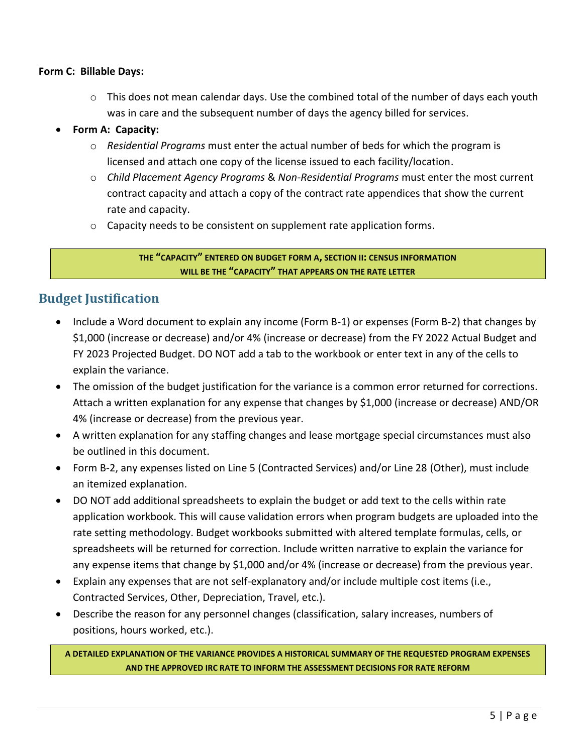#### **Form C: Billable Days:**

 $\circ$  This does not mean calendar days. Use the combined total of the number of days each youth was in care and the subsequent number of days the agency billed for services.

#### • **Form A: Capacity:**

- o *Residential Programs* must enter the actual number of beds for which the program is licensed and attach one copy of the license issued to each facility/location.
- o *Child Placement Agency Programs* & *Non-Residential Programs* must enter the most current contract capacity and attach a copy of the contract rate appendices that show the current rate and capacity.
- o Capacity needs to be consistent on supplement rate application forms.

#### **THE "CAPACITY" ENTERED ON BUDGET FORM A, SECTION II: CENSUS INFORMATION WILL BE THE "CAPACITY" THAT APPEARS ON THE RATE LETTER**

# **Budget Justification**

- Include a Word document to explain any income (Form B-1) or expenses (Form B-2) that changes by \$1,000 (increase or decrease) and/or 4% (increase or decrease) from the FY 2022 Actual Budget and FY 2023 Projected Budget. DO NOT add a tab to the workbook or enter text in any of the cells to explain the variance.
- The omission of the budget justification for the variance is a common error returned for corrections. Attach a written explanation for any expense that changes by \$1,000 (increase or decrease) AND/OR 4% (increase or decrease) from the previous year.
- A written explanation for any staffing changes and lease mortgage special circumstances must also be outlined in this document.
- Form B-2, any expenses listed on Line 5 (Contracted Services) and/or Line 28 (Other), must include an itemized explanation.
- DO NOT add additional spreadsheets to explain the budget or add text to the cells within rate application workbook. This will cause validation errors when program budgets are uploaded into the rate setting methodology. Budget workbooks submitted with altered template formulas, cells, or spreadsheets will be returned for correction. Include written narrative to explain the variance for any expense items that change by \$1,000 and/or 4% (increase or decrease) from the previous year.
- Explain any expenses that are not self-explanatory and/or include multiple cost items (i.e., Contracted Services, Other, Depreciation, Travel, etc.).
- Describe the reason for any personnel changes (classification, salary increases, numbers of positions, hours worked, etc.).

**A DETAILED EXPLANATION OF THE VARIANCE PROVIDES A HISTORICAL SUMMARY OF THE REQUESTED PROGRAM EXPENSES AND THE APPROVED IRC RATE TO INFORM THE ASSESSMENT DECISIONS FOR RATE REFORM**